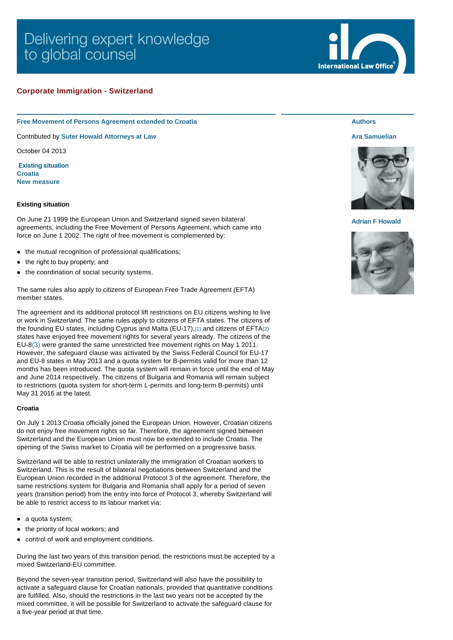# Delivering expert knowledge to global counsel

# **Corporate Immigration - Switzerland**

**Free Movement of Persons Agreement extended to Croatia**

Contributed by **[Suter Howald Attorneys at Law](http://www.internationallawoffice.com/gesr.ashx?l=7K1C3X2)**

October 04 2013

 **[Existing situation](#page-0-0) [Croatia](#page-0-1) [New measure](#page-1-0)**

# <span id="page-0-0"></span>**Existing situation**

On June 21 1999 the European Union and Switzerland signed seven bilateral agreements, including the Free Movement of Persons Agreement, which came into force on June 1 2002. The right of free movement is complemented by:

- the mutual recognition of professional qualifications;
- the right to buy property; and
- the coordination of social security systems.

The same rules also apply to citizens of European Free Trade Agreement (EFTA) member states.

The agreement and its additional protocol lift restrictions on EU citizens wishing to live or work in Switzerland. The same rules apply to citizens of EFTA states. The citizens of the founding EU states, including Cyprus and Malta (EU-17),[\(1\)](#page-1-1) and citizens of EFTA[\(2\)](#page-1-2) states have enjoyed free movement rights for several years already. The citizens of the EU-8[\(3\)](#page-1-3) were granted the same unrestricted free movement rights on May 1 2011. However, the safeguard clause was activated by the Swiss Federal Council for EU-17 and EU-8 states in May 2013 and a quota system for B-permits valid for more than 12 months has been introduced. The quota system will remain in force until the end of May and June 2014 respectively. The citizens of Bulgaria and Romania will remain subject to restrictions (quota system for short-term L-permits and long-term B-permits) until May 31 2016 at the latest.

### <span id="page-0-1"></span>**Croatia**

On July 1 2013 Croatia officially joined the European Union. However, Croatian citizens do not enjoy free movement rights so far. Therefore, the agreement signed between Switzerland and the European Union must now be extended to include Croatia. The opening of the Swiss market to Croatia will be performed on a progressive basis.

Switzerland will be able to restrict unilaterally the immigration of Croatian workers to Switzerland. This is the result of bilateral negotiations between Switzerland and the European Union recorded in the additional Protocol 3 of the agreement. Therefore, the same restrictions system for Bulgaria and Romania shall apply for a period of seven years (transition period) from the entry into force of Protocol 3, whereby Switzerland will be able to restrict access to its labour market via:

- $\bullet$  a quota system;
- the priority of local workers; and
- control of work and employment conditions.

During the last two years of this transition period, the restrictions must be accepted by a mixed Switzerland-EU committee.

Beyond the seven-year transition period, Switzerland will also have the possibility to activate a safeguard clause for Croatian nationals, provided that quantitative conditions are fulfilled. Also, should the restrictions in the last two years not be accepted by the mixed committee, it will be possible for Switzerland to activate the safeguard clause for a five-year period at that time.



# **[Ara Samuelian](http://www.internationallawoffice.com/gesr.ashx?l=7K1C3X5)**

**Authors**



### **[Adrian F Howald](http://www.internationallawoffice.com/gesr.ashx?l=7K1C3Y7)**